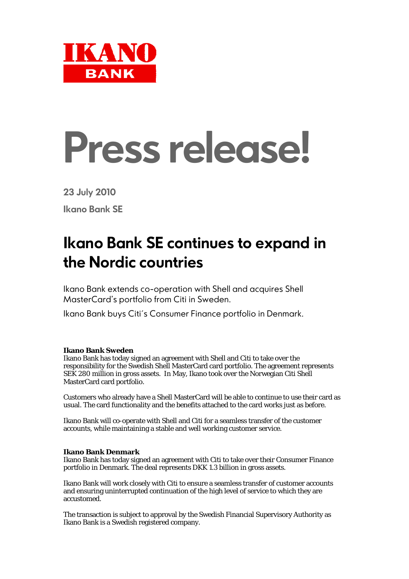

## **Press release!**

**23 July 2010** 

**Ikano Bank SE**

## **Ikano Bank SE continues to expand in the Nordic countries**

Ikano Bank extends co-operation with Shell and acquires Shell MasterCard's portfolio from Citi in Sweden.

Ikano Bank buys Citi´s Consumer Finance portfolio in Denmark.

## **Ikano Bank Sweden**

Ikano Bank has today signed an agreement with Shell and Citi to take over the responsibility for the Swedish Shell MasterCard card portfolio. The agreement represents SEK 280 million in gross assets. In May, Ikano took over the Norwegian Citi Shell MasterCard card portfolio.

Customers who already have a Shell MasterCard will be able to continue to use their card as usual. The card functionality and the benefits attached to the card works just as before.

Ikano Bank will co-operate with Shell and Citi for a seamless transfer of the customer accounts, while maintaining a stable and well working customer service.

## **Ikano Bank Denmark**

Ikano Bank has today signed an agreement with Citi to take over their Consumer Finance portfolio in Denmark. The deal represents DKK 1.3 billion in gross assets.

Ikano Bank will work closely with Citi to ensure a seamless transfer of customer accounts and ensuring uninterrupted continuation of the high level of service to which they are accustomed.

The transaction is subject to approval by the Swedish Financial Supervisory Authority as Ikano Bank is a Swedish registered company.